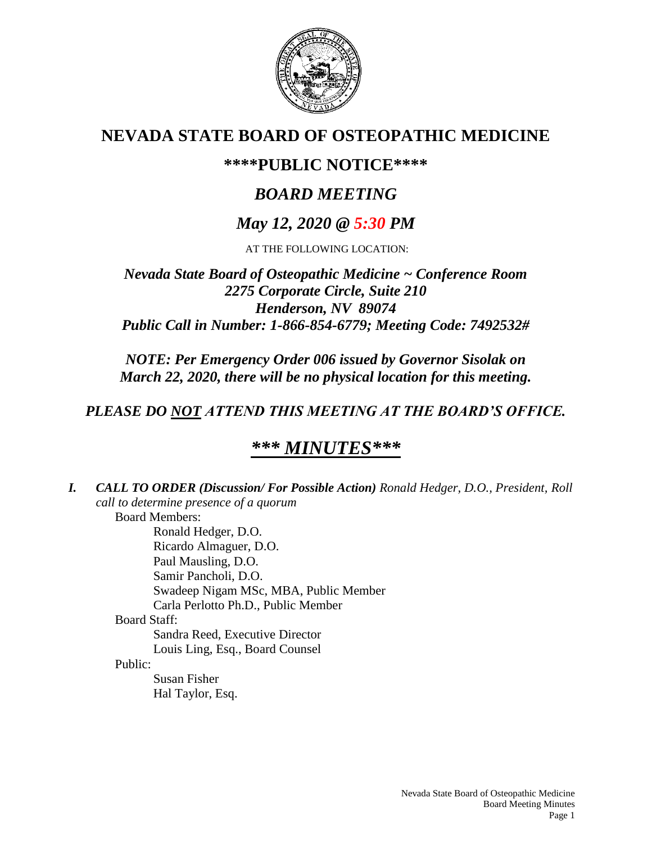

# **NEVADA STATE BOARD OF OSTEOPATHIC MEDICINE**

## **\*\*\*\*PUBLIC NOTICE\*\*\*\***

# *BOARD MEETING*

# *May 12, 2020 @ 5:30 PM*

AT THE FOLLOWING LOCATION:

## *Nevada State Board of Osteopathic Medicine ~ Conference Room 2275 Corporate Circle, Suite 210 Henderson, NV 89074 Public Call in Number: 1-866-854-6779; Meeting Code: 7492532#*

*NOTE: Per Emergency Order 006 issued by Governor Sisolak on March 22, 2020, there will be no physical location for this meeting.*

## *PLEASE DO NOT ATTEND THIS MEETING AT THE BOARD'S OFFICE.*

# *\*\*\* MINUTES\*\*\**

*I. CALL TO ORDER (Discussion/ For Possible Action) Ronald Hedger, D.O., President, Roll call to determine presence of a quorum* Board Members: Ronald Hedger, D.O. Ricardo Almaguer, D.O. Paul Mausling, D.O. Samir Pancholi, D.O. Swadeep Nigam MSc, MBA, Public Member Carla Perlotto Ph.D., Public Member Board Staff: Sandra Reed, Executive Director Louis Ling, Esq., Board Counsel Public: Susan Fisher Hal Taylor, Esq.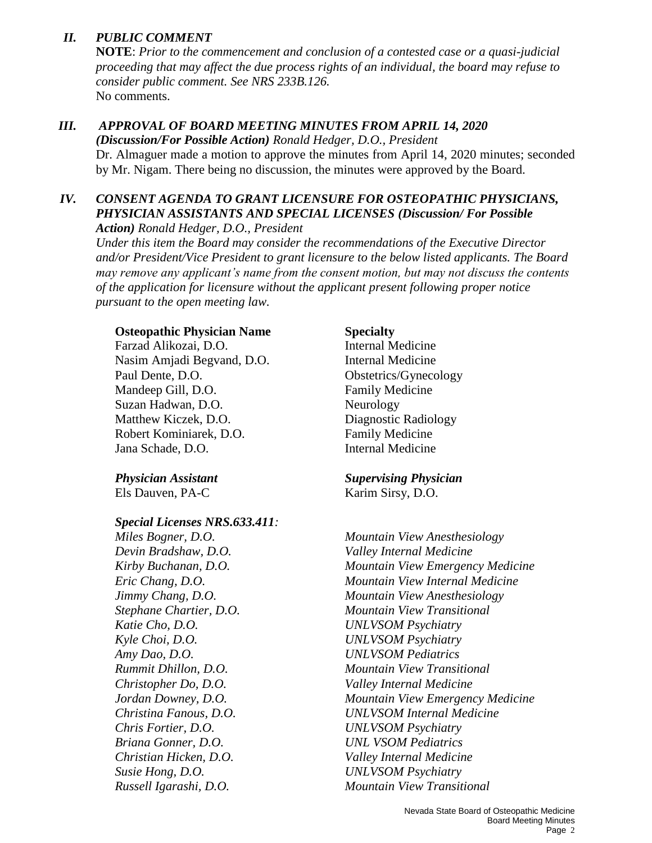#### *II. PUBLIC COMMENT*

**NOTE**: *Prior to the commencement and conclusion of a contested case or a quasi-judicial proceeding that may affect the due process rights of an individual, the board may refuse to consider public comment. See NRS 233B.126.* No comments.

#### *III. APPROVAL OF BOARD MEETING MINUTES FROM APRIL 14, 2020*

*(Discussion/For Possible Action) Ronald Hedger, D.O., President* Dr. Almaguer made a motion to approve the minutes from April 14, 2020 minutes; seconded by Mr. Nigam. There being no discussion, the minutes were approved by the Board.

## *IV. CONSENT AGENDA TO GRANT LICENSURE FOR OSTEOPATHIC PHYSICIANS, PHYSICIAN ASSISTANTS AND SPECIAL LICENSES (Discussion/ For Possible*

*Action) Ronald Hedger, D.O., President*

*Under this item the Board may consider the recommendations of the Executive Director and/or President/Vice President to grant licensure to the below listed applicants. The Board may remove any applicant's name from the consent motion, but may not discuss the contents of the application for licensure without the applicant present following proper notice pursuant to the open meeting law.*

#### **Osteopathic Physician Name Specialty**

Farzad Alikozai, D.O. **Internal Medicine** Nasim Amjadi Begvand, D.O. Internal Medicine Paul Dente, D.O. **Obstetrics/Gynecology** Mandeep Gill, D.O. **Family Medicine** Suzan Hadwan, D.O. Neurology Matthew Kiczek, D.O. Diagnostic Radiology Robert Kominiarek, D.O. Family Medicine Jana Schade, D.O. Internal Medicine

Els Dauven, PA-C Karim Sirsy, D.O.

#### *Special Licenses NRS.633.411:*

*Devin Bradshaw, D.O. Valley Internal Medicine Katie Cho, D.O. UNLVSOM Psychiatry Kyle Choi, D.O. UNLVSOM Psychiatry Amy Dao, D.O. UNLVSOM Pediatrics Christopher Do, D.O. Valley Internal Medicine Chris Fortier, D.O. UNLVSOM Psychiatry Briana Gonner, D.O. UNL VSOM Pediatrics Christian Hicken, D.O. Valley Internal Medicine Susie Hong, D.O. UNLVSOM Psychiatry*

## *Physician Assistant Supervising Physician*

*Miles Bogner, D.O. Mountain View Anesthesiology Kirby Buchanan, D.O. Mountain View Emergency Medicine Eric Chang, D.O. Mountain View Internal Medicine Jimmy Chang, D.O. Mountain View Anesthesiology Stephane Chartier, D.O. Mountain View Transitional Rummit Dhillon, D.O. Mountain View Transitional Jordan Downey, D.O. Mountain View Emergency Medicine Christina Fanous, D.O. UNLVSOM Internal Medicine Russell Igarashi, D.O. Mountain View Transitional*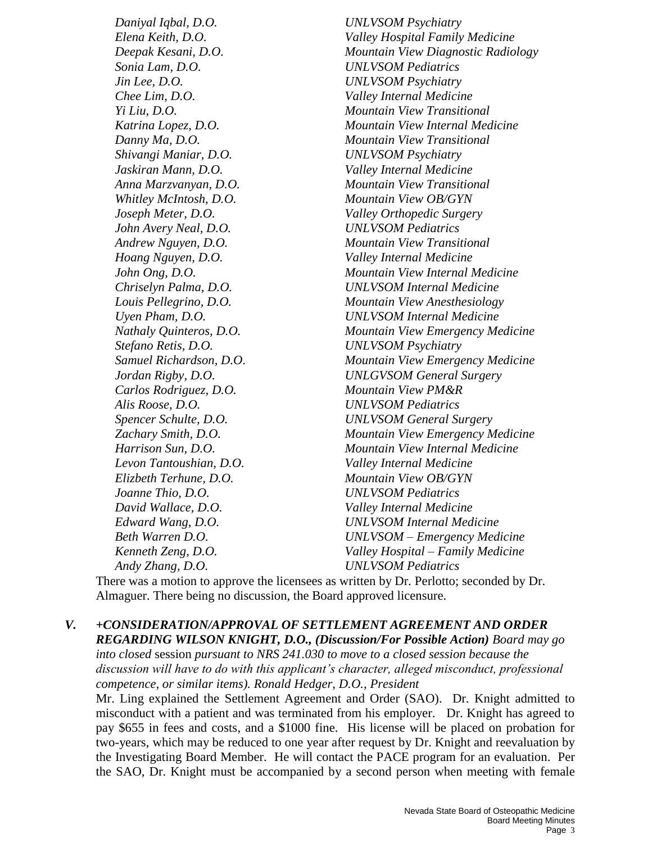*Daniyal Iqbal, D.O. UNLVSOM Psychiatry Elena Keith, D.O. Valley Hospital Family Medicine Deepak Kesani, D.O. Mountain View Diagnostic Radiology Sonia Lam, D.O. UNLVSOM Pediatrics Jin Lee, D.O. UNLVSOM Psychiatry Chee Lim, D.O. Valley Internal Medicine Yi Liu, D.O. Mountain View Transitional Katrina Lopez, D.O. Mountain View Internal Medicine Danny Ma, D.O. Mountain View Transitional Shivangi Maniar, D.O. UNLVSOM Psychiatry Jaskiran Mann, D.O. Valley Internal Medicine Anna Marzvanyan, D.O. Mountain View Transitional Whitley McIntosh, D.O. Mountain View OB/GYN Joseph Meter, D.O. Valley Orthopedic Surgery John Avery Neal, D.O. UNLVSOM Pediatrics Andrew Nguyen, D.O. Mountain View Transitional Hoang Nguyen, D.O. Valley Internal Medicine John Ong, D.O. Mountain View Internal Medicine Chriselyn Palma, D.O. UNLVSOM Internal Medicine Louis Pellegrino, D.O. Mountain View Anesthesiology Uyen Pham, D.O. UNLVSOM Internal Medicine Nathaly Quinteros, D.O. Mountain View Emergency Medicine Stefano Retis, D.O. UNLVSOM Psychiatry Samuel Richardson, D.O. Mountain View Emergency Medicine Jordan Rigby, D.O. UNLGVSOM General Surgery Carlos Rodriguez, D.O. Mountain View PM&R Alis Roose, D.O. UNLVSOM Pediatrics Spencer Schulte, D.O. UNLVSOM General Surgery Zachary Smith, D.O. Mountain View Emergency Medicine Harrison Sun, D.O. Mountain View Internal Medicine Levon Tantoushian, D.O. Valley Internal Medicine Elizbeth Terhune, D.O. Mountain View OB/GYN Joanne Thio, D.O. UNLVSOM Pediatrics David Wallace, D.O. Valley Internal Medicine Edward Wang, D.O. UNLVSOM Internal Medicine Beth Warren D.O. UNLVSOM – Emergency Medicine Kenneth Zeng, D.O. Valley Hospital – Family Medicine*

*Andy Zhang, D.O. UNLVSOM Pediatrics*

There was a motion to approve the licensees as written by Dr. Perlotto; seconded by Dr. Almaguer. There being no discussion, the Board approved licensure.

## *V. +CONSIDERATION/APPROVAL OF SETTLEMENT AGREEMENT AND ORDER REGARDING WILSON KNIGHT, D.O., (Discussion/For Possible Action) Board may go into closed* session *pursuant to NRS 241.030 to move to a closed session because the*

*discussion will have to do with this applicant's character, alleged misconduct, professional competence, or similar items). Ronald Hedger, D.O., President*

Mr. Ling explained the Settlement Agreement and Order (SAO). Dr. Knight admitted to misconduct with a patient and was terminated from his employer. Dr. Knight has agreed to pay \$655 in fees and costs, and a \$1000 fine. His license will be placed on probation for two-years, which may be reduced to one year after request by Dr. Knight and reevaluation by the Investigating Board Member. He will contact the PACE program for an evaluation. Per the SAO, Dr. Knight must be accompanied by a second person when meeting with female